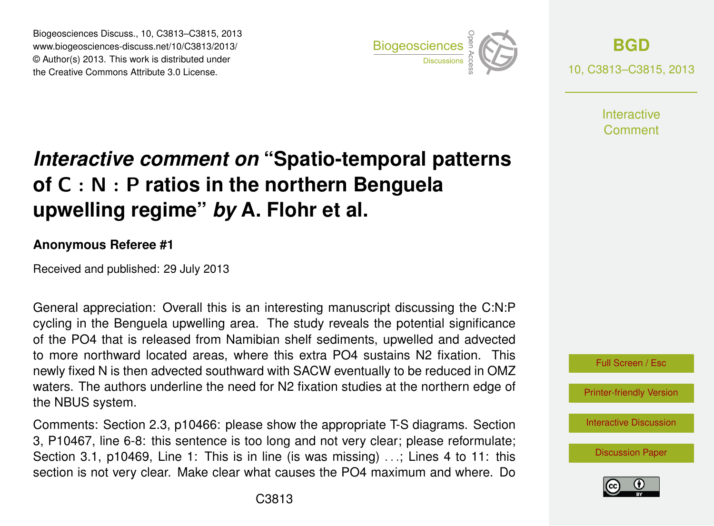Biogeosciences Discuss., 10, C3813–C3815, 2013 www.biogeosciences-discuss.net/10/C3813/2013/ www.biogeosciences-ulscuss.net/10/05613/2013/<br>© Author(s) 2013. This work is distributed under the Creative Commons Attribute 3.0 License.



**[BGD](http://www.biogeosciences-discuss.net)** 10, C3813–C3815, 2013

> **Interactive** Comment

## Earth System of C  $:$  N  $:$  P ratios in the northern Benguela  $\cdot$  $\overline{\phantom{a}}$ *Interactive comment on* **"Spatio-temporal patterns upwelling regime"** *by* **A. Flohr et al.**

## **Anonymous Referee #1**

Received and published: 29 July 2013

General appreciation: Overall this is an interesting manuscript discussing the C:N:P cycling in the Benguela upwelling area. The study reveals the potential significance )<br>Di<br>Di า<br>ท<br>ว of the PO4 that is released from Namibian shelf sediments, upwelled and advected newly fixed N is then advected southward with SACW eventually to be reduced in OMZ waters. The authors underline the need for N2 fixation studies at the northern edge of d<br>f k<br>I to more northward located areas, where this extra PO4 sustains N2 fixation. This the NBUS system.

3, I T0407, line 0-0. this sentence is too long and not very clear, please relorminate,<br>Section 3.1, p10469, Line 1: This is in line (is was missing) ...; Lines 4 to 11: this o<br>D<br>I  $\mathsf{pr}_{\mathsf{p}}$ 3, P10467, line 6-8: this sentence is too long and not very clear; please reformulate; Comments: Section 2.3, p10466: please show the appropriate T-S diagrams. Section section is not very clear. Make clear what causes the PO4 maximum and where. Do



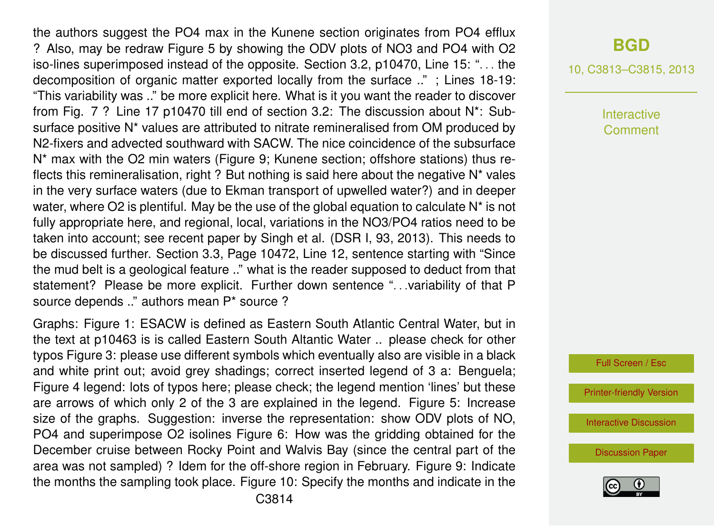the authors suggest the PO4 max in the Kunene section originates from PO4 efflux ? Also, may be redraw Figure 5 by showing the ODV plots of NO3 and PO4 with O2 iso-lines superimposed instead of the opposite. Section 3.2, p10470, Line 15: ". . . the decomposition of organic matter exported locally from the surface .." ; Lines 18-19: "This variability was .." be more explicit here. What is it you want the reader to discover from Fig. 7 ? Line 17 p10470 till end of section 3.2: The discussion about N\*: Subsurface positive N<sup>\*</sup> values are attributed to nitrate remineralised from OM produced by N2-fixers and advected southward with SACW. The nice coincidence of the subsurface N\* max with the O2 min waters (Figure 9; Kunene section; offshore stations) thus reflects this remineralisation, right ? But nothing is said here about the negative N\* vales in the very surface waters (due to Ekman transport of upwelled water?) and in deeper water, where O2 is plentiful. May be the use of the global equation to calculate  $N^*$  is not fully appropriate here, and regional, local, variations in the NO3/PO4 ratios need to be taken into account; see recent paper by Singh et al. (DSR I, 93, 2013). This needs to be discussed further. Section 3.3, Page 10472, Line 12, sentence starting with "Since the mud belt is a geological feature .." what is the reader supposed to deduct from that statement? Please be more explicit. Further down sentence ". . .variability of that P source depends .." authors mean P\* source ?

Graphs: Figure 1: ESACW is defined as Eastern South Atlantic Central Water, but in the text at p10463 is is called Eastern South Altantic Water .. please check for other typos Figure 3: please use different symbols which eventually also are visible in a black and white print out; avoid grey shadings; correct inserted legend of 3 a: Benguela; Figure 4 legend: lots of typos here; please check; the legend mention 'lines' but these are arrows of which only 2 of the 3 are explained in the legend. Figure 5: Increase size of the graphs. Suggestion: inverse the representation: show ODV plots of NO, PO4 and superimpose O2 isolines Figure 6: How was the gridding obtained for the December cruise between Rocky Point and Walvis Bay (since the central part of the area was not sampled) ? Idem for the off-shore region in February. Figure 9: Indicate the months the sampling took place. Figure 10: Specify the months and indicate in the

## **[BGD](http://www.biogeosciences-discuss.net)**

10, C3813–C3815, 2013

Interactive Comment

Full Screen / Esc

[Printer-friendly Version](http://www.biogeosciences-discuss.net/10/C3813/2013/bgd-10-C3813-2013-print.pdf)

[Interactive Discussion](http://www.biogeosciences-discuss.net/10/10459/2013/bgd-10-10459-2013-discussion.html)

[Discussion Paper](http://www.biogeosciences-discuss.net/10/10459/2013/bgd-10-10459-2013.pdf)